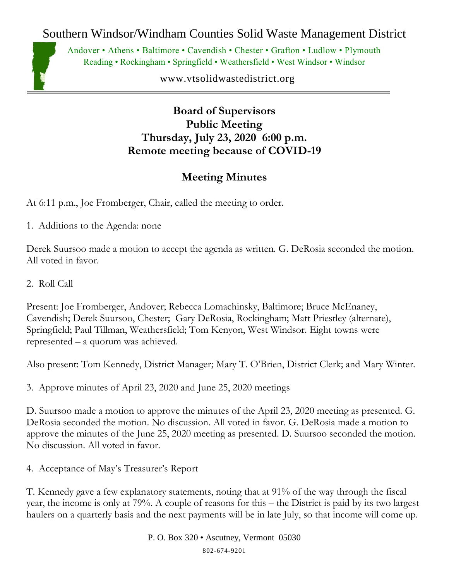Southern Windsor/Windham Counties Solid Waste Management District



Andover • Athens • Baltimore • Cavendish • Chester • Grafton • Ludlow • Plymouth Reading • Rockingham • Springfield • Weathersfield • West Windsor • Windsor

www.vtsolidwastedistrict.org

**Board of Supervisors Public Meeting Thursday, July 23, 2020 6:00 p.m. Remote meeting because of COVID-19**

## **Meeting Minutes**

At 6:11 p.m., Joe Fromberger, Chair, called the meeting to order.

1. Additions to the Agenda: none

Derek Suursoo made a motion to accept the agenda as written. G. DeRosia seconded the motion. All voted in favor.

2. Roll Call

Present: Joe Fromberger, Andover; Rebecca Lomachinsky, Baltimore; Bruce McEnaney, Cavendish; Derek Suursoo, Chester; Gary DeRosia, Rockingham; Matt Priestley (alternate), Springfield; Paul Tillman, Weathersfield; Tom Kenyon, West Windsor. Eight towns were represented – a quorum was achieved.

Also present: Tom Kennedy, District Manager; Mary T. O'Brien, District Clerk; and Mary Winter.

3. Approve minutes of April 23, 2020 and June 25, 2020 meetings

D. Suursoo made a motion to approve the minutes of the April 23, 2020 meeting as presented. G. DeRosia seconded the motion. No discussion. All voted in favor. G. DeRosia made a motion to approve the minutes of the June 25, 2020 meeting as presented. D. Suursoo seconded the motion. No discussion. All voted in favor.

4. Acceptance of May's Treasurer's Report

T. Kennedy gave a few explanatory statements, noting that at 91% of the way through the fiscal year, the income is only at 79%. A couple of reasons for this – the District is paid by its two largest haulers on a quarterly basis and the next payments will be in late July, so that income will come up.

> P. O. Box 320 • Ascutney, Vermont 05030 802-674-9201